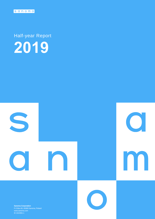

Half-year Report **2019**



**Sanoma Corporation** P.O.Box 60, 00089 Sanoma, Finland ID 1524361-1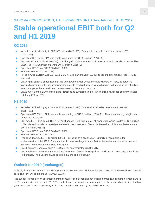### SANOMA CORPORATION, HALF-YEAR REPORT 1 JANUARY–30 JUNE 2019

# **Stable operational EBIT both for Q2 and H1 2019**

### **Q2 2019**

- Net sales declined slightly to EUR 353 million (2018: 363). Comparable net sales development was -2% (2018: -1%).
- Operational EBIT excl. PPA was stable, amounting to EUR 81 million (2018: 82).
- **EBIT was EUR 73 million (2018: 71). The change in EBIT was a result of lower IACs, which totalled EUR -5 million** (2018: -9). PPA amortisations were EUR 3 million (2018: 2).
- Operational EPS was EUR 0.33 (2018: 0.33).
- EPS was EUR 0.31 (2018: 0.28).
- Net debt / Adj. EBITDA was 2.2 (2018: 2.1), including an impact of 0.5 due to the implementation of the IFRS 16 standard.
- On 17 April, Sanoma announced that the Dutch Authority for Consumers and Markets will take, as part of its standard procedure, a further assessment in order to reach a final decision with regard to the acquisition of Iddink. Sanoma expects the acquisition to be completed by the end of Q3 2019.
- On 28 June, Sanoma announced it had increased its ownership in the Finnish online classifieds company Oikotie Ltd. from 90% to 100%.

### **H1 2019**

- Net sales declined slightly to EUR 602 million (2018: 625). Comparable net sales development was -3% (2018: -3%).
- **Operational EBIT excl. PPA was stable, amounting to EUR 91 million (2018: 92). The corresponding margin was** 15.1% (2018: 14.8%).
- **EBIT was EUR 85 million (2018: 79). The change in EBIT was a result of lower IACs, which totalled EUR -1 million** (2018: -9), and included a capital gain related to the divestment of Mood for Magazines. PPA amortisations were EUR 6 million (2018: 4).
- Operational EPS was EUR 0.34 (2018: 0.35).
- EPS was EUR 0.35 (2018: 0.30).
- Free cash flow was EUR -41 million (2018: -43), including a positive EUR 12 million impact due to the implementation of the IFRS 16 standard, which was to a large extent offset by the settlement of a rental contract related to Discontinued operations in Belgium.
- On 4 February, Sanoma signed a EUR 550 million syndicated credit facility.
- On 14 February, Sanoma announced the divestment of Mood for Magazines, publisher of LINDA. magazine, in the Netherlands. The divestment was completed at the end of February.

## **Outlook for 2019 (unchanged)**

In 2019, Sanoma expects that the Group's comparable net sales will be in line with 2018 and operational EBIT margin excluding PPA will be around 15% (2018: 15.7%).

The outlook is based on an assumption of the consumer confidence and advertising market development in Finland and in the Netherlands to be in line with 2018. The outlook does not include any assumptions of the intended acquisition of Iddink (announced on 11 December 2018), which is expected to be closed by the end of Q3 2019.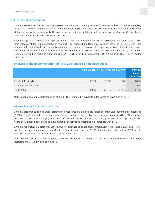#### **IFRS 16 implementation**

Sanoma has adopted the new IFRS 16 Leases standard as of 1 January 2019 and prepares its financial reports according to the new standard starting from Q1 2019 interim report. IFRS 16 requires lessees to recognise assets and liabilities for all leases unless the lease term is 12 months or less or the underlying asset has a low value. Sanoma Group's lease contracts are mostly related to premises and cars.

Sanoma applies the modified retrospective method, and consequently financials for 2018 have not been restated. The main impacts of the implementation of the IFRS 16 standard on Sanoma's balance sheet on 30 June 2019 are summarised in the table below. In addition, they are reported and discussed in respective sections of this interim report. The impact of the implementation of the IFRS 16 standard on Sanoma's cash flow from operations for Q2 2019 was EUR 6 million and on cash flow from financing EUR -6 million, and correspondingly EUR 12 million and EUR -12 million for H1 2019.

#### **Impacts of the implementation of IFRS 16 standard on balance sheet**

|                        |       | 30 Jun 2018 31 Dec 2018 30 Jun 2019 |       | <b>IFRS 16</b><br>impact<br>30 Jun 2019 |
|------------------------|-------|-------------------------------------|-------|-----------------------------------------|
| Net debt, EUR million  | 472.8 | 337.8                               | 578.0 | $+178.8$                                |
| Net debt / Adj. EBITDA | 2.1   | 1.4                                 | 2.2   | $+0.5$                                  |
| Equity ratio           | 36.6% | 44.7%                               | 37.2% | $-4.6$ pp                               |

More information on the implementation of the IFRS 16 standard is available in the Accounting policies on p. 21.

#### **Alternative performance measures**

Sanoma presents certain financial performance measures on a non-IFRS basis as alternative performance measures (APMs). The APMs exclude certain non-operational or non-cash valuation items affecting comparability (IACs) and are provided to reflect the underlying business performance and to enhance comparability between reporting periods. The APMs should not be considered as a substitute for performance measures in accordance with IFRS.

Sanoma has included Operational EBIT excluding purchase price allocation amortisations (Operational EBIT excl. PPA), and the corresponding margin, as an APM in its financial reporting from Q1 2019 interim report. Operational EBIT margin excl. PPA is used as a basis in Sanoma's Outlook for 2019.

More information is available at Sanoma.com. Reconciliations are presented on p. 17 in this report. Definitions of key IFRS indicators and APMs are available on p. 34.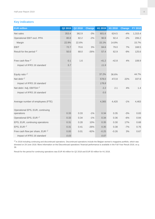### **Key indicators**

| <b>EUR million</b>                             | Q2 2019 | Q2 2018 | <b>Change</b> | H1 2019 | H1 2018 | <b>Change</b> | FY 2018 |
|------------------------------------------------|---------|---------|---------------|---------|---------|---------------|---------|
| Net sales                                      | 353.4   | 362.9   | $-3%$         | 601.6   | 624.5   | $-4%$         | 1,315.4 |
| Operational EBIT excl. PPA                     | 80.8    | 82.2    | $-2%$         | 90.9    | 92.4    | $-2%$         | 206.2   |
| Margin                                         | 22.9%   | 22.6%   |               | 15.1%   | 14.8%   |               | 15.7%   |
| <b>EBIT</b>                                    | 72.7    | 70.6    | 3%            | 84.6    | 79.0    | 7%            | 168.5   |
| Result for the period $1$ <sup>)</sup>         | 50.0    | 68.0    | $-26%$        | 57.4    | 62.9    | $-9%$         | 125.6   |
| Free cash flow $1$ <sup>)</sup>                | 0.1     | 1.6     |               | $-41.2$ | $-42.8$ | 4%            | 108.9   |
| Impact of IFRS 16 standard                     | 5.7     |         |               | 11.9    |         |               |         |
|                                                |         |         |               |         |         |               |         |
| Equity ratio <sup>1)</sup>                     |         |         |               | 37.2%   | 36.6%   |               | 44.7%   |
| Net debt $1$ <sup>)</sup>                      |         |         |               | 578.0   | 472.8   | 22%           | 337.8   |
| Impact of IFRS 16 standard                     |         |         |               | 178.8   |         |               |         |
| Net debt / Adj. EBITDA <sup>1)</sup>           |         |         |               | 2.2     | 2.1     | 4%            | 1.4     |
| Impact of IFRS 16 standard                     |         |         |               | 0.5     |         |               |         |
|                                                |         |         |               |         |         |               |         |
| Average number of employees (FTE)              |         |         |               | 4,365   | 4,420   | $-1%$         | 4,463   |
|                                                |         |         |               |         |         |               |         |
| Operational EPS, EUR, continuing<br>operations | 0.33    | 0.33    | $-1%$         | 0.34    | 0.35    | $-3%$         | 0.83    |
| Operational EPS, EUR <sup>1)</sup>             | 0.33    | 0.34    | $-1%$         | 0.34    | 0.36    | $-6%$         | 0.84    |
| EPS, EUR, continuing operations                | 0.31    | 0.28    | 10%           | 0.35    | 0.30    | 17%           | 0.68    |
| EPS, EUR $1$ <sup>1)</sup>                     | 0.31    | 0.41    | $-26%$        | 0.35    | 0.38    | $-7%$         | 0.76    |
| Free cash flow per share, EUR $1$ )            | 0.00    | 0.01    | $-92%$        | $-0.25$ | $-0.26$ | 3%            | 0.67    |
| Impact of IFRS 16 standard                     | 0.03    |         |               | 0.07    |         |               |         |

<sup>1)</sup> In 2018 including continuing and discontinued operations. Discontinued operations include the Belgian women's magazine portfolio, which was divested on 29 June 2018. More information on the Discontinued operations' financial performance is available in the Full-Year Result 2018, on p. 36.

Result for the period for continuing operations was EUR 46 million for Q2 2018 and EUR 50 million for H1 2018.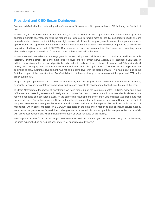### **President and CEO Susan Duinhoven:**

"We are satisfied with the continued good performance of Sanoma as a Group as well as all SBUs during the first half of 2019.

In Learning, H1 net sales were on the previous year's level. There are no major curriculum renewals ongoing in our operating markets this year, and thus the markets are expected to remain more or less flat compared to 2018. We are currently well-positioned for the third-quarter high season, which has in the past years increased its importance due to optimisation in the supply chain and growing share of digital learning materials. We are also looking forward to closing the acquisition of Iddink by the end of Q3 2019. Our business development program "High Five" proceeded according to our plan, and we expect its benefits to focus even more to the second half of the year.

In Media Finland, net sales and earnings grew in the second quarter mainly as a result of earlier acquisitions, notably Rockfest, Finland's largest rock and metal music festival, and the Finnish News Agency STT acquired a year ago. In addition, advertising sales developed positively partially due to parliamentary elections held in April and EU elections held in May. We are happy that both the number of subscriptions and subscription sales of Ruutu+ and Helsingin Sanomat continued to grow. Earnings development was not at the same level with the topline growth. This was mainly due to the fact that, as part of the deal structure, Rockfest did not contribute positively to our earnings yet this year, and STT had a break-even result.

Despite our good performance in the first half of the year, the underlying operating environment in the media business, especially in Finland, was relatively demanding, and we don't expect it to change remarkably during the rest of the year.

In Media Netherlands, the impact of divestments we have made during the past nine months - LINDA. magazine, Head Office content marketing operations in Belgium, and Home Deco e-commerce operations – was clearly visible in our reported net sales and operational EBIT. At the same time, development of the underlying business was stable and met our expectations. Our online news site NU.nl had another strong quarter, both in usage and sales. During the first half of the year, revenues of NU.nl grew by 16%. Circulation sales continued to be impacted by the increase in the VAT of magazines, which came into force on 1 January. Net sales of the data-driven marketing and cashback service Scoupy were below the previous year's level due to changes we have made in its product portfolio. We proceeded successfully with active cost containment, which mitigated the impact of lower net sales on profitability.

We keep our Outlook for 2019 unchanged. We remain focused on capturing good opportunities to grow our business, including synergetic bolt-on acquisitions, and aim for an increasing dividend."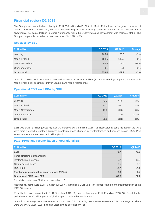### **Financial review Q2 2019**

The Group's net sales declined slightly to EUR 353 million (2018: 363). In Media Finland, net sales grew as a result of earlier acquisitions. In Learning, net sales declined slightly due to shifting between quarters. As a consequence of divestments, net sales declined in Media Netherlands while the underlying sales development was relatively stable. The Group's comparable net sales development was -2% (2018: -1%).

#### **Net sales by SBU**

| <b>EUR million</b> | Q2 2019 | Q2 2018 | Change |
|--------------------|---------|---------|--------|
| Learning           | 105.4   | 108.3   | $-3%$  |
| Media Finland      | 154.5   | 146.2   | 6%     |
| Media Netherlands  | 93.6    | 108.4   | $-14%$ |
| Other operations   | $-0.1$  | $-0.1$  | $-63%$ |
| <b>Group total</b> | 353.4   | 362.9   | $-3%$  |

Operational EBIT excl. PPA was stable and amounted to EUR 81 million (2018: 82). Earnings improved somewhat in Media Finland, but declined slightly in Learning and Media Netherlands.

#### **Operational EBIT excl. PPA by SBU**

| <b>EUR million</b> | Q2 2019 | Q <sub>2</sub> 2018 | <b>Change</b> |
|--------------------|---------|---------------------|---------------|
| Learning           | 43.3    | 44.5                | $-3%$         |
| Media Finland      | 20.1    | 19.3                | 4%            |
| Media Netherlands  | 19.6    | 20.3                | $-3%$         |
| Other operations   | $-2.2$  | $-1.9$              | $-14%$        |
| <b>Group total</b> | 80.8    | 82.2                | $-2\%$        |

EBIT was EUR 73 million (2018: 71). Net IACs totalled EUR -5 million (2018: -9). Restructuring costs included in the IACs were mainly related to strategic business development and changes in IT infrastructure and services across SBUs. PPA amortisations amounted to EUR 3 million (2018: 2).

#### **IACs, PPAs and reconciliation of operational EBIT**

| Q2 2019<br>Q2 2018<br><b>EUR million</b><br><b>EBIT</b><br>72.7<br>70.6<br>Items affecting comparability<br>Restructuring expenses<br>$-5.7$<br>$-12.5$<br>3.3<br>Capital gains / losses<br>0.5<br>$-5.2$<br><b>IACs total</b><br>$-9.2$<br><b>Purchase price allocation amortisations (PPAs)</b><br>$-3.0$<br>$-2.4$<br><b>Operational EBIT excl. PPA</b><br>82.2<br>80.8 |  |  |
|----------------------------------------------------------------------------------------------------------------------------------------------------------------------------------------------------------------------------------------------------------------------------------------------------------------------------------------------------------------------------|--|--|
|                                                                                                                                                                                                                                                                                                                                                                            |  |  |
|                                                                                                                                                                                                                                                                                                                                                                            |  |  |
|                                                                                                                                                                                                                                                                                                                                                                            |  |  |
|                                                                                                                                                                                                                                                                                                                                                                            |  |  |
|                                                                                                                                                                                                                                                                                                                                                                            |  |  |
|                                                                                                                                                                                                                                                                                                                                                                            |  |  |
|                                                                                                                                                                                                                                                                                                                                                                            |  |  |
|                                                                                                                                                                                                                                                                                                                                                                            |  |  |

A detailed reconciliation on SBU level is presented on p.17.

Net financial items were EUR -6 million (2018: -6), including a EUR -2 million impact related to the implementation of the IFRS 16 standard.

Result before taxes amounted to EUR 67 million (2018: 65). Income taxes were EUR 17 million (2018: 18). Result for the period was EUR 50 million (2018: 46; including Discontinued operations 68).

Operational earnings per share were EUR 0.33 (2018: 0.33; including Discontinued operations 0.34). Earnings per share were EUR 0.31 (2018: 0.28; including Discontinued operations 0.41).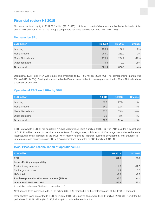### **Financial review H1 2019**

Net sales declined slightly to EUR 602 million (2018: 625) mainly as a result of divestments in Media Netherlands at the end of 2018 and during 2019. The Group's comparable net sales development was -3% (2018: -3%).

#### **Net sales by SBU**

| <b>EUR million</b> | H1 2019 | H1 2018 | Change |
|--------------------|---------|---------|--------|
| Learning           | 136.9   | 137.2   | $0\%$  |
| Media Finland      | 286.1   | 283.2   | $1\%$  |
| Media Netherlands  | 178.9   | 204.2   | $-12%$ |
| Other operations   | $-0.3$  | $-0.2$  | 28%    |
| <b>Group total</b> | 601.6   | 624.5   | $-4%$  |

Operational EBIT excl. PPA was stable and amounted to EUR 91 million (2018: 92). The corresponding margin was 15.1% (2018: 14.8%). Earnings improved in Media Finland, were stable in Learning and declined in Media Netherlands as a result of divestments.

#### **Operational EBIT excl. PPA by SBU**

| <b>EUR million</b> | H1 2019 | H1 2018 | Change |
|--------------------|---------|---------|--------|
| Learning           | 27.0    | 27.3    | $-1\%$ |
| Media Finland      | 34.3    | 32.8    | 4%     |
| Media Netherlands  | 33.0    | 35.9    | $-8%$  |
| Other operations   | $-3.5$  | $-3.6$  | 4%     |
| <b>Group total</b> | 90.9    | 92.4    | $-2%$  |

EBIT improved to EUR 85 million (2018: 79). Net IACs totalled EUR -1 million (2018: -9). The IACs included a capital gain of EUR 11 million related to the divestment of Mood for Magazines, publisher of LINDA. magazine in the Netherlands. Restructuring costs included in the IACs were mainly related to strategic business development and changes in IT infrastructure and services across SBUs. PPA amortisations amounted to EUR 6 million (2018: 4).

#### **IACs, PPAs and reconciliation of operational EBIT**

| <b>EUR million</b>                                    | H1 2019 | H1 2018 |
|-------------------------------------------------------|---------|---------|
| <b>EBIT</b>                                           | 84.6    | 79.0    |
| Items affecting comparability                         |         |         |
| Restructuring expenses                                | $-11.9$ | $-12.3$ |
| Capital gains / losses                                | 11.4    | 3.3     |
| <b>IACs total</b>                                     | $-0.6$  | $-9.0$  |
| <b>Purchase price allocation amortisations (PPAs)</b> | $-5.7$  | $-4.4$  |
| <b>Operational EBIT excl. PPA</b>                     | 90.9    | 92.4    |

A detailed reconciliation on SBU level is presented on p.17.

Net financial items increased to EUR -10 million (2018: -9) mainly due to the implementation of the IFRS 16 standard.

Result before taxes amounted to EUR 74 million (2018: 70). Income taxes were EUR 17 million (2018: 20). Result for the period was EUR 57 million (2018: 50; including Discontinued operations 63).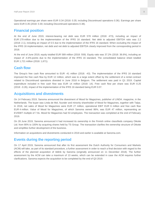Operational earnings per share were EUR 0.34 (2018: 0.35; including Discontinued operations 0.36). Earnings per share were EUR 0.35 (2018: 0.30; including Discontinued operations 0.38).

### **Financial position**

At the end of June 2019, interest-bearing net debt was EUR 578 million (2018: 473), including an impact of EUR 179 million due to the implementation of the IFRS 16 standard. Net debt to adjusted EBITDA ratio was 2.2 (2018: 2.1), including an impact of 0.5 due to the implementation of the IFRS 16 standard. When excluding the impact of the IFRS 16 implementation, net debt and net debt to adjusted EBITDA clearly improved from the corresponding period in 2018.

At the end of June 2019, equity totalled EUR 589 million (2018: 559). Equity ratio was 37.2% (2018: 36.6%), including an impact of -4.6%-points due to the implementation of the IFRS 16 standard. The consolidated balance sheet totalled EUR 1,721 million (2018: 1,671).

### **Cash flow**

The Group's free cash flow amounted to EUR -41 million (2018: -43). The implementation of the IFRS 16 standard improved the free cash flow by EUR 12 million, which was to a large extent offset by the settlement of a rental contract related to Discontinued operations divested in June 2018 in Belgium. The settlement was paid in Q1 2019. Capital expenditure included in free cash flow was EUR 14 million (2018: 14). Free cash flow per share was EUR -0.25 (2018: -0.26), impact of the implementation of the IFRS 16 standard being EUR 0.07.

### **Acquisitions and divestments**

On 14 February 2019, Sanoma announced the divestment of Mood for Magazines, publisher of LINDA. magazine, in the Netherlands. The buyer was Linda de Mol, founder and minority shareholder of Mood for Magazines, together with Talpa. In 2018, net sales of Mood for Magazines were EUR 27 million, operational EBIT EUR 6 million and free cash flow EUR 4 million. Value of Mood for Magazines, of which Sanoma owned 86%, was EUR 47 million, representing an EV/EBIT multiple of 7.9x. Mood for Magazines had 53 employees. The transaction was completed at the end of February 2019.

On 28 June 2019, Sanoma announced it had increased its ownership in the Finnish online classifieds company Oikotie Ltd. from 90% to 100% by acquiring shares held by TS Group. The transaction clarifies the ownership structure of Oikotie and simplifies further development of the business.

Information on acquisitions and divestments conducted in 2018 and earlier is available at Sanoma.com.

### **Events during the reporting period**

On 17 April 2019, Sanoma announced that after its first assessment the Dutch Authority for Consumers and Markets (ACM) will take, as part of its standard procedure, a further assessment in order to reach a final decision with regard to the effects of the planned acquisition of Iddink by Sanoma (originally announced on 11 December 2018). The further assessment by the ACM can take a maximum of 13 weeks, which can be extended in case the ACM requires further clarifications. Sanoma expects the acquisition to be completed by the end of Q3 2019.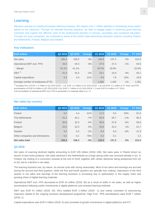### **Learning**

Sanoma Learning is a leading European learning company. We support over 1 million teachers in developing every pupil's talents to the maximum. Through our blended learning solutions, we help to engage pupils in achieving good learning outcomes and support the effective work of the professional teachers in primary, secondary and vocational education. Through our local companies, we contribute to some of the world's best-performing education systems including Poland, the Netherlands, Finland, Belgium and Sweden.

#### **Key indicators**

| <b>EUR million</b>                | Q2 2019 | Q2 2018 | <b>Change</b> | H1 2019 | H1 2018 | <b>Change</b> | <b>FY 2018</b> |
|-----------------------------------|---------|---------|---------------|---------|---------|---------------|----------------|
| Net sales                         | 105.4   | 108.3   | $-3%$         | 136.9   | 137.2   | $0\%$         | 313.3          |
| Operational EBIT excl. PPA        | 43.3    | 44.5    | $-3%$         | 27.0    | 27.3    | $-1\%$        | 64.6           |
| Margin                            | 41.1%   | 41.1%   |               | 19.7%   | 19.9%   |               | 20.6%          |
| EBIT <sup>1</sup>                 | 41.3    | 42.4    | $-2%$         | 23.1    | 24.0    | $-4%$         | 56.1           |
| Capital expenditure               | 5.2     | 4.3     | 21%           | 9.0     | 7.8     | 15%           | 19.8           |
| Average number of employees (FTE) |         |         |               | 1,361   | 1,352   | 1%            | 1,351          |

<sup>1)</sup> Including IACs of EUR -1.1 million in Q2 2019 (2018: -1.3), EUR -2.2 million in H1 2019 (2018: -1.6) and EUR -5.1 million in FY 2018, and PPA amortisations of EUR 0.8 million in Q2 2019 (2018: 0.8), EUR 1.7 million in H1 2019 (2018: 1.7) and EUR 3.4 million in FY 2018. Full reconciliation of operational EBIT excl. PPA is presented in a separate table on p. 17.

|  | <b>Net sales by country</b> |  |  |  |
|--|-----------------------------|--|--|--|
|--|-----------------------------|--|--|--|

| <b>EUR million</b>               | Q2 2019 | Q <sub>2</sub> 2018 | Change | H1 2019       | H1 2018 | <b>Change</b> | <b>FY 2018</b> |
|----------------------------------|---------|---------------------|--------|---------------|---------|---------------|----------------|
| Poland                           | 6.2     | 4.4                 | 41%    | 11.3          | 9.4     | 20%           | 91.5           |
| The Netherlands                  | 41.2    | 44.1                | $-7%$  | 55.4          | 55.7    | $-1%$         | 90.2           |
| Finland                          | 30.6    | 32.3                | $-5%$  | 35.9          | 37.8    | $-5%$         | 56.0           |
| <b>Belgium</b>                   | 22.0    | 22.0                | $0\%$  | 25.6          | 25.2    | 1%            | 51.7           |
| Sweden                           | 5.4     | 5.5                 | $-2\%$ | 8.4           | 9.0     | $-6%$         | 21.9           |
| Other companies and eliminations | 0.1     | 0.1                 | 78%    | $0.2^{\circ}$ | 0.1     |               | 2.1            |
| Net sales total                  | 105.4   | 108.3               | $-3%$  | 136.9         | 137.2   | 0%            | 313.3          |

#### **Q2 2019**

Net sales of Learning declined slightly amounting to EUR 105 million (2018: 108). Net sales grew in Poland driven by launch of new niche products. Net sales declined in the Netherlands as a large spring order was received already in Q1. In Finland, the ending of a curriculum renewal at the end of 2018, together with certain deliveries being postponed from Q2 to Q3, led to a decline in net sales.

The learning business has, by nature, an annual cycle with strong seasonality. Most of net sales and earnings are accrued during the second and third quarters, while the first and fourth quarters are typically loss making. Importance of the third quarter in net sales and earnings of the learning business is increasing due to optimisation in the supply chain and growing share of digital learning materials.

Operational EBIT excl. PPA decreased to EUR 43 million (2018: 45) as a result of shifts in net sales, as well as higher amortisations following earlier investments in digital platforms and renewed learning methods.

EBIT was EUR 41 million (2018: 42). IACs totalled EUR -1 million (2018: -1) and mainly consisted of restructuring expenses related to the ongoing business development programme "High Five". PPA amortisations were EUR 1 million (2018: 1).

Capital expenditure was EUR 5 million (2018: 4) and consisted of growth investments in digital platforms and ICT.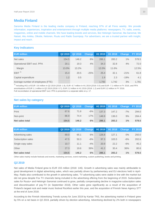### **Media Finland**

Sanoma Media Finland is the leading media company in Finland, reaching 97% of all Finns weekly. We provide information, experiences, inspiration and entertainment through multiple media platforms: newspapers, TV, radio, events, magazines, online and mobile channels. We have leading brands and services, like Helsingin Sanomat, Ilta-Sanomat, Me Naiset, Aku Ankka, Oikotie, Nelonen, Ruutu and Radio Suomipop. For advertisers, we are a trusted partner with insight, impact and reach.

#### **Key indicators**

| <b>EUR million</b>                | Q2 2019 | Q2 2018 | <b>Change</b> | H <sub>1</sub> 2019 | H1 2018 | <b>Change</b> | <b>FY 2018</b> |
|-----------------------------------|---------|---------|---------------|---------------------|---------|---------------|----------------|
| Net sales                         | 154.5   | 146.2   | 6%            | 286.1               | 283.2   | 1%            | 578.5          |
| Operational EBIT excl. PPA        | 20.1    | 19.3    | 4%            | 34.3                | 32.8    | 4%            | 72.0           |
| Margin                            | 13.0%   | 13.2%   |               | 12.0%               | 11.6%   |               | 12.5%          |
| EBIT <sup>1</sup>                 | 15.4    | 20.5    | $-25%$        | 25.4                | 32.1    | $-21%$        | 61.8           |
| Capital expenditure               | 1.2     | 0.5     |               | 1.9                 | 2.3     | $-19%$        | 4.1            |
| Average number of employees (FTE) |         |         |               | 1,793               | 1,742   | 3%            | 1,781          |

<sup>1)</sup> Including IACs of EUR -3.6 million in Q2 2019 (2018: 1.9), EUR -6.7 million in H1 2019 (2018: 0.5) and EUR -7.1 million in FY 2018, and PPA amortisations of EUR 1.1 million in Q2 2019 (2018: 0.7), EUR 2.2 million in H1 2019 (2018: 1.2) and EUR 3.2 million in FY 2018. Full reconciliation of operational EBIT excl. PPA is presented in a separate table on p. 17.

#### **Net sales by category**

| <b>EUR million</b> |       |       |        |       | Q2 2019 Q2 2018 Change H1 2019 H1 2018 Change FY 2018 |       |       |
|--------------------|-------|-------|--------|-------|-------------------------------------------------------|-------|-------|
| Print              | 67.6  | 71.8  | $-6\%$ | 137.3 | 147.2                                                 | $-7%$ | 294.0 |
| Non-print          | 86.9  | 74.4  | 17%    | 148.9 | 136.0                                                 | 9%    | 284.4 |
| Net sales total    | 154.5 | 146.2 | 6%     | 286.1 | 283.2                                                 | 1%    | 578.5 |

| <b>EUR million</b> | Q2 2019 | Q2 2018 | <b>Change</b> | H <sub>1</sub> 2019 | H1 2018 | <b>Change</b> | <b>FY 2018</b> |
|--------------------|---------|---------|---------------|---------------------|---------|---------------|----------------|
| Advertising sales  | 69.0    | 65.1    | 6%            | 126.8               | 127.1   | $0\%$         | 250.0          |
| Subscription sales | 47.5    | 50.3    | $-6\%$        | 97.3                | 103.5   | $-6%$         | 202.6          |
| Single copy sales  | 10.7    | 11.1    | $-4%$         | 20.9                | 22.2    | $-6%$         | 45.2           |
| Other              | 27.3    | 19.6    | 39%           | 41.2                | 30.4    | 36%           | 80.6           |
| Net sales total    | 154.5   | 146.2   | 6%            | 286.1               | 283.2   | 1%            | 578.5          |

Other sales mainly include festivals and events, marketing services, event marketing, custom publishing, books and printing.

#### **Q2 2019**

Net sales of Media Finland grew to EUR 155 million (2018: 146). Growth in advertising sales was mainly attributable to good development in digital advertising sales, which was partially driven by parliamentary and EU elections held in April-May. Radio also contributed to the growth in advertising sales. TV advertising sales were stable in line with the market but did not grow despite Fox TV channels being included in the advertising offering from the beginning of 2019. Subscription sales for Ruutu+ and Helsingin Sanomat continued to grow, partially compensating decline in magazine subscription sales and discontinuation of pay-TV (in September 2018). Other sales grew significantly as a result of the acquisition of Finland's largest rock and metal music festival Rockfest earlier this year, and the acquisition of Finnish News Agency STT at the end of June 2018.

According to the Finnish Advertising Trends survey for June 2019 by Kantar TNS, the advertising market in Finland grew by 5% on a net basis in Q2 2019, partially driven by election advertising. Advertising declined by 2% both in newspapers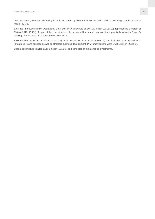and magazines, whereas advertising in radio increased by 10%, on TV by 1% and in online, excluding search and social media, by 9%.

Earnings improved slightly. Operational EBIT excl. PPA amounted to EUR 20 million (2018: 19), representing a margin of 13.0% (2018: 13.2%). As part of the deal structure, the acquired Rockfest did not contribute positively to Media Finland's earnings yet this year. STT had a break-even result.

EBIT declined to EUR 15 million (2018: 21). IACs totalled EUR -4 million (2018: 2) and included costs related to IT infrastructure and services as well as strategic business development. PPA amortisations were EUR 1 million (2018: 1).

Capital expenditure totalled EUR 1 million (2018: 1) and consisted of maintenance investments.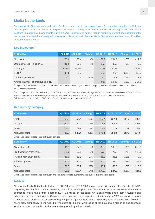### **Media Netherlands**

Sanoma Media Netherlands includes the Dutch consumer media operations, Home Deco media operations in Belgium and the press distribution business Aldipress. We have a leading cross media portfolio with strong brands and market positions in magazines, news, events, custom media, websites and apps. Through combining content and customer data, we develop successful marketing solutions for our clients. In total, Sanoma Media Netherlands reaches nearly 12 million consumers every month.

#### **Key indicators 1)**

| <b>EUR million</b>                | Q2 2019 | Q2 2018 | <b>Change</b> | H <sub>1</sub> 2019 | H <sub>1</sub> 2018 | <b>Change</b> | <b>FY 2018</b> |
|-----------------------------------|---------|---------|---------------|---------------------|---------------------|---------------|----------------|
| Net sales                         | 93.6    | 108.4   | $-14%$        | 178.9               | 204.2               | $-12%$        | 424.0          |
| Operational EBIT excl. PPA        | 19.6    | 20.3    | $-3%$         | 33.0                | 35.9                | $-8%$         | 79.6           |
| Margin                            | 20.9%   | 18.7%   |               | 18.5%               | 17.6%               |               | 18.8%          |
| EBIT <sup>2</sup>                 | 17.6    | 8.7     |               | 39.2                | 25.5                | 53%           | 58.0           |
| Capital expenditure               | 0.1     | 0.3     | $-66%$        | 1.0                 | 1.1                 | $-15%$        | 2.3            |
| Average number of employees (FTE) |         |         |               | 937                 | 1.049               | $-11%$        | 1.059          |

<sup>1)</sup> Fiaures for 2018 include LINDA. magazine, Head Office content marketing operations in Belgium, and Home Deco e-commerce operations, which have been divested.

2) Including IACs of EUR -0.9 million in Q2 2019 (2018: -10.8), EUR 8.0 million in H1 2019 (2018: -8.8) and EUR -18.5 million in FY 2018, and PPA amortisations of EUR 1.0 million in Q2 2019 (2018: 0.8), EUR 1.8 million in H1 2019 (2018: 1.6) and EUR 3.0 million in FY 2018. Full reconciliation of operational EBIT excl. PPA is presented in a separate table on p. 17.

#### **Net sales by category**

| <b>EUR million</b> | Q2 2019 |       |        |       | Q2 2018 Change H1 2019 H1 2018 Change FY 2018 |        |       |
|--------------------|---------|-------|--------|-------|-----------------------------------------------|--------|-------|
| Print              | 58.6    | 66.4  | $-12%$ | 113.7 | 127.0                                         | $-10%$ | 255.1 |
| Non-print          | 22.0    | 30.0  | $-27%$ | 42.5  | 54.8                                          | $-22%$ | 120.5 |
| Other              | 13.0    | 12.1  | 8%     | 22.6  | 22.5                                          | 1%     | 48.4  |
| Net sales total    | 93.6    | 108.4 | $-14%$ | 178.9 | 204.2                                         | $-12%$ | 424.0 |

Other sales mainly include press distribution services.

| <b>EUR million</b>         | Q2 2019 | Q2 2018 | <b>Change</b> | H1 2019 | H1 2018 | <b>Change</b> | <b>FY 2018</b> |
|----------------------------|---------|---------|---------------|---------|---------|---------------|----------------|
| Circulation sales          | 49.3    | 54.9    | $-10%$        | 98.8    | 108.2   | $-9%$         | 216.8          |
| Subscription sales (print) | 33.7    | 36.1    | $-7%$         | 67.5    | 72.5    | $-7%$         | 143.9          |
| Single copy sales (print)  | 15.6    | 18.8    | $-17%$        | 31.3    | 35.6    | $-12%$        | 72.9           |
| Advertising sales          | 17.7    | 20.3    | $-13%$        | 34.0    | 39.5    | $-14%$        | 84.1           |
| Other                      | 26.6    | 33.2    | $-20%$        | 46.1    | 56.5    | $-18%$        | 123.0          |
| Net sales total            | 93.6    | 108.4   | $-14%$        | 178.9   | 204.2   | $-12%$        | 424.0          |

Other sales mainly include press distribution and marketing services, event marketing, custom publishing and books.

#### **Q2 2019**

Net sales of Media Netherlands declined to EUR 94 million (2018: 108) mainly as a result of earlier divestments of LINDA. magazine, Head Office content marketing operations in Belgium, and discontinuation of Home Deco e-commerce operations, which had a total impact of EUR -12 million on net sales. On a comparable basis, both circulation and advertising sales declined slightly. Circulation sales continued to be impacted by the increase in VAT of magazines, which came into force as of 1 January 2019 limiting the pricing opportunities. Within advertising sales, sales of online news site NU.nl grew significantly in line with the time spent on the site, while sales of the data-driven marketing and cashback service Scoupy continued to decline due to changes in its product portfolio.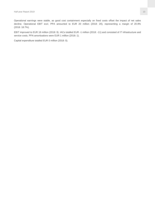Operational earnings were stable, as good cost containment especially on fixed costs offset the impact of net sales decline. Operational EBIT excl. PPA amounted to EUR 20 million (2018: 20), representing a margin of 20.9% (2018: 18.7%).

EBIT improved to EUR 18 million (2018: 9). IACs totalled EUR -1 million (2018: -11) and consisted of IT infrastructure and service costs. PPA amortisations were EUR 1 million (2018: 1).

Capital expenditure totalled EUR 0 million (2018: 0).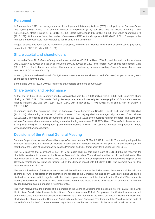#### **Personnel**

In January–June 2019, the average number of employees in full-time equivalents (FTE) employed by the Sanoma Group was 4,365 (2018: 4,420). The average number of employees (FTE) per SBU was as follows: Learning 1,361 (2018: 1,352), Media Finland 1,793 (2018: 1,742), Media Netherlands 937 (2018: 1,049), and Other operations 274 (2018: 277). At the end of June, the number of employees (FTE) of the Group was 4,416 (2018: 4,511). Changes in the number of employees were mainly related to acquisitions and divestments.

Wages, salaries and fees paid to Sanoma's employees, including the expense recognition of share-based payments, amounted to EUR 155 million (2018: 156).

#### **Share capital and shareholders**

At the end of June 2019, Sanoma's registered share capital was EUR 71 million (2018: 71) and the total number of shares was 163,565,663 (2018: 163,565,663), including 549,140 (2018: 161,293) own shares. Own shares represented 0.3% (2018: 0.1%) of all shares and votes. The number of outstanding shares excluding Sanoma's own shares was 163,016,523 (2018: 163,404,370).

In March, Sanoma delivered a total of 512,153 own shares (without consideration and after taxes) as part of its long-term share-based incentive plans.

Sanoma had 20,807 (2018: 20,937) registered shareholders at the end of June 2019.

#### **Share trading and performance**

At the end of June 2019, Sanoma's market capitalisation was EUR 1,384 million (2018: 1,420) with Sanoma's share closing at EUR 8.49 (2018: 8.69). During January–June, the volume-weighted average price of Sanoma's share on Nasdaq Helsinki Ltd. was EUR 8.64 (2018: 9.64), with a low of EUR 7.96 (2018: 8.39) and a high of EUR 9.44 (2018: 11.47).

In January–June, the cumulative value of Sanoma's share turnover on Nasdaq Helsinki Ltd. was EUR 83 million (2018: 201). The trading volume of 10 million shares (2018: 21) equalled an average daily turnover of 78k shares (2018: 168k). The traded shares accounted for some 6% (2018: 13%) of the average number of shares. The cumulative value of Sanoma's share turnover including alternative trading venues was EUR 207 million (2018: 468). In January–June, 57% (2018: 57%) of all trading took place outside Nasdaq Helsinki Ltd. (Source: Fidessa Fragmentation Index, www.fragmentation.fidessa.com).

#### **Decisions of the Annual General Meeting**

Sanoma Corporation's Annual General Meeting (AGM) was held on 27 March 2019 in Helsinki. The meeting adopted the Financial Statements, the Board of Directors' Report and the Auditor's Report for the year 2018 and discharged the members of the Board of Directors as well as the President and CEO from liability for the financial year 2018.

The AGM resolved that a dividend of EUR 0.45 per share shall be paid and a sum of EUR 350,000 be reserved for charitable donations to be used at the Board of Directors' discretion. The dividend shall be paid in two instalments. The first instalment of EUR 0.25 per share was paid to a shareholder who was registered in the shareholders' register of the Company maintained by Euroclear Finland Ltd on the dividend record date 29 March 2019. The payment date for this instalment was 5 April 2019.

The second instalment of EUR 0.20 per share shall be paid in November 2019.The second instalment shall be paid to a shareholder who is registered in the shareholders' register of the Company maintained by Euroclear Finland Ltd on the dividend record date, which, together with the dividend payment date, shall be decided by the Board of Directors in its meeting scheduled for 24 October 2019. The dividend record date would then be on or about 28 October 2019 and the dividend payment date on or about 4 November 2019.

The AGM resolved that the number of the members of the Board of Directors shall be set at nine. Pekka Ala-Pietilä, Antti Herlin, Anne Brunila, Mika Ihamuotila, Nils Ittonen, Denise Koopmans, Rafaela Seppälä and Kai Öistämö were re-elected as members, and Sebastian Langenskiöld was elected as a new member of the Board of Directors. Pekka Ala-Pietilä was elected as the Chairman of the Board and Antti Herlin as the Vice Chairman. The term of all the Board members ends at the end of the AGM 2020. The remuneration payable to the members of the Board of Directors shall remain as before.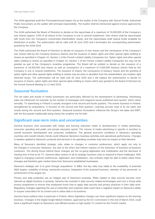The AGM appointed audit firm PricewaterhouseCoopers Oy as the auditor of the Company with Samuli Perälä, Authorised Public Accountant, as the auditor with principal responsibility. The Auditor shall be reimbursed against invoice approved by the Company.

The AGM authorised the Board of Directors to decide on the repurchase of a maximum of 16,000,000 of the Company's own shares (approx. 9.8% of all shares of the Company) in one or several instalments. Own shares shall be repurchased with funds from the Company's unrestricted shareholders' equity, and the repurchases shall reduce funds available for distribution of profits. The authorisation will be valid until 30 June 2020 and it terminates the corresponding authorisation granted by the AGM 2018.

The AGM authorised the Board of Directors to decide on issuance of new shares and the conveyance of the Company's own shares held by the Company (treasury shares) and the issuance of option rights and other special rights entitling to shares as specified in Chapter 10, Section 1 of the Finnish Limited Liability Companies Act. Option rights and other special rights entitling to shares as specified in Chapter 10, Section 1 of the Finnish Limited Liability Companies Act may not be granted as part of the Company's incentive programme. The Board will be entitled to decide on the issuance of a maximum of 18,000,000 new shares as well as conveyance of a maximum of 5,000,000 treasury shares held by the Company in one or several instalments. The issuance of shares, the conveyance of treasury shares and the granting of option rights and other special rights entitling to shares may be done in deviation from the shareholders' pre-emptive right (directed issue). The authorisation will be valid until 30 June 2020 and it will replace the authorisation to decide on issuance of shares, option rights and other special rights entitling to shares which was granted to the Board of Directors by the Annual General Meeting on 12 April 2016.

### **Seasonal fluctuation**

The net sales and results of media businesses are particularly affected by the development of advertising. Advertising sales are influenced, for example, by the number of newspaper and magazine issues published each quarter, which varies annually. TV advertising in Finland is usually strongest in the second and fourth quarters. The events business in Finland, strengthened by acquisitions, is focused on the second and third quarters. Learning accrues most of its net sales and results during the second and third quarters. Seasonal business fluctuations influence the Group's net sales and EBIT, with the first quarter traditionally being clearly the smallest one for both.

#### **Significant near-term risks and uncertainties**

General business risks associated with media and learning industries relate to developments in media advertising, consumer spending and public and private education spend. The volume of media advertising in specific is sensitive to overall economic development and consumer confidence. The general economic conditions in Sanoma's operating countries and overall industry trends could influence Sanoma's business activities and operational performance. Changes in taxation applied to Sanoma's products and services in its operating countries may have an impact on their demand.

Many of Sanoma's identified strategic risks relate to changes in customer preferences, which apply not only to the changes in consumer behaviour, but also to the direct and indirect impacts on the behaviour of business-to-business customers. The driving forces behind these changes are the on-going digitisation and mobilisation and the decrease of viewing time of free-to-air TV. Sanoma takes actions in all its strategic business units to respond to these challenges. With regard to changing customer preferences, digitisation and mobilisation, new entrants might be able to better utilise these changes and therefore gain market share from Sanoma's established businesses.

Sanoma's strategic aim is to grow through acquisitions. In M&A, the key risks may relate to the availability of potential M&A targets, suitability of timing, transaction process, integration of the acquired business, retention of key personnel, or achievement of the targets set.

Privacy and data protection are an integral part of Sanoma's business. Risks related to data security become more relevant as digital business is growing. Sanoma has invested in data security related technologies and runs a Group-wide privacy programme to ensure that employees know how to apply data security and privacy practices in their daily work. Regulatory changes regarding the use of subscriber and customer data could have a negative impact on Sanoma's ability to acquire subscribers for its content and to utilise data in its business.

Sanoma faces political risks in particular in Poland, where legislative changes can have significant impacts on the learning business. Changes in the Digital Single Market Initiative, approved by the EU Commission in the end of March 2019, could have a significant impact on Sanoma's cost efficient access to high quality TV content for the Finnish market.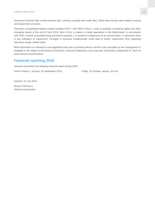Sanoma's financial risks include interest rate, currency, liquidity and credit risks. Other risks include risks related to equity and impairment of assets.

Sanoma's consolidated balance sheet included EUR 1,158 million (2018: 1,193) of goodwill, immaterial rights and other intangible assets at the end of June 2019. Most of this is related to media operations in the Netherlands. In accordance with IFRS, instead of goodwill being amortised regularly, it is tested for impairment on an annual basis, or whenever there is any indication of impairment. Changes in business fundamentals could lead to further impairment, thus impacting Sanoma's equity-related ratios.

More information on Sanoma's most significant risks and uncertainty factors and the main principles of risk management is available in the Report of the Board of Directors, Financial Statements and Corporate Governance Statement for 2018 on www.sanoma.com/investors.

### **Financial reporting 2019**

Sanoma will publish the following financial report during 2019:

Interim Report 1 January–30 September 2019 Friday, 25 October, approx. at 8:30

Helsinki, 24 July 2019

Board of Directors Sanoma Corporation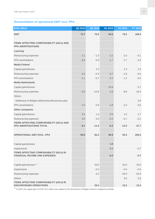### **Reconciliation of operational EBIT excl. PPA**

| <b>EUR million</b>                                                                     | Q2 2019 | Q2 2018 | H1 2019 | H1 2018 | FY 2018 |
|----------------------------------------------------------------------------------------|---------|---------|---------|---------|---------|
| <b>EBIT</b>                                                                            | 72.7    | 70.6    | 84.6    | 79.0    | 168.5   |
|                                                                                        |         |         |         |         |         |
| <b>ITEMS AFFECTING COMPARABILITY (IACs) AND</b><br><b>PPA AMORTISATIONS</b>            |         |         |         |         |         |
| Learning                                                                               |         |         |         |         |         |
| Restructuring expenses                                                                 | $-1.1$  | $-1.3$  | $-2.2$  | $-1.6$  | $-5.1$  |
| PPA amortisations                                                                      | $-0.8$  | $-0.8$  | $-1.7$  | $-1.7$  | $-3.4$  |
| <b>Media Finland</b>                                                                   |         |         |         |         |         |
| Capital gains/losses                                                                   |         | 2.3     |         | 2.3     | 2.3     |
| Restructuring expenses                                                                 | $-3.6$  | $-0.3$  | $-6.7$  | $-1.8$  | $-9.4$  |
| PPA amortisations                                                                      | $-1.1$  | $-0.7$  | $-2.2$  | $-1.2$  | $-3.2$  |
| <b>Media Netherlands</b>                                                               |         |         |         |         |         |
| Capital gains/losses                                                                   |         |         | 10.8    |         | $-2.7$  |
| Restructuring expenses                                                                 | $-0.9$  | $-10.8$ | $-2.8$  | $-8.8$  | $-19.4$ |
| <b>Others</b>                                                                          |         |         |         |         |         |
| Settlement of Belgian defined benefit pension plan                                     |         |         |         |         | 3.6     |
| PPA amortisations                                                                      | $-1.0$  | $-0.8$  | $-1.8$  | $-1.6$  | $-3.0$  |
| <b>Other companies</b>                                                                 |         |         |         |         |         |
| Capital gains/losses                                                                   | 0.5     | 1.0     | 0.5     | 1.0     | 2.7     |
| Restructuring expenses                                                                 | 0.0     | 0.0     | $-0.2$  | $-0.1$  | $-0.1$  |
| <b>ITEMS AFFECTING COMPARABILITY (IACs) AND</b><br><b>PPA AMORTISATIONS TOTAL</b>      | $-8.1$  | $-11.6$ | $-6.3$  | $-13.5$ | $-37.7$ |
|                                                                                        |         |         |         |         |         |
| <b>OPERATIONAL EBIT EXCL. PPA</b>                                                      | 80.8    | 82.2    | 90.9    | 92.4    | 206.2   |
|                                                                                        |         |         |         |         |         |
| Capital gains/losses                                                                   |         |         | 1.0     |         |         |
| Impairments                                                                            |         |         | $-1.1$  |         | $-0.7$  |
| <b>ITEMS AFFECTING COMPARABILITY (IACs) IN</b><br><b>FINANCIAL INCOME AND EXPENSES</b> |         |         | $-0.2$  |         | $-0.7$  |
|                                                                                        |         |         |         |         |         |
| Capital gains/losses <sup>1)</sup>                                                     |         | 33.0    |         | 33.0    | 33.0    |
| Impairments                                                                            |         | $-0.4$  |         | $-0.4$  | $-0.4$  |
| Restructuring expenses                                                                 |         | $-3.2$  |         | $-20.9$ | $-20.9$ |
| <b>Others</b>                                                                          |         |         |         | 3.6     | 3.6     |
| <b>ITEMS AFFECTING COMPARABILITY (IACs) IN</b><br><b>DISCONTINUED OPERATIONS</b>       |         | 29.4    |         | 15.3    | 15.3    |

<sup>1)</sup> In 2018, the capital gain of EUR 33.0 million was related to the divestment of Belgian women's magazine portfolio.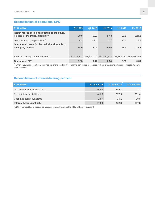### **Reconciliation of operational EPS**

| <b>EUR million</b>                                                                | Q2 2019 | Q2 2018                                                     | H1 2019 | H1 2018 | <b>FY 2018</b> |
|-----------------------------------------------------------------------------------|---------|-------------------------------------------------------------|---------|---------|----------------|
| Result for the period attributable to the equity<br>holders of the Parent Company | 50.0    | 67.3                                                        | 57.3    | 61.9    | 124.2          |
| Items affecting comparability <sup>1)</sup>                                       | 4.1     | $-12.4$                                                     | $-1.7$  | $-2.6$  | 13.2           |
| Operational result for the period attributable to<br>the equity holders           | 54.0    | 54.9                                                        | 55.6    | 59.3    | 137.4          |
|                                                                                   |         |                                                             |         |         |                |
| Adjusted average number of shares                                                 |         | 163,016,523 163,404,370 162,849,578 163,353,771 163,084,958 |         |         |                |
| <b>Operational EPS</b>                                                            | 0.33    | 0.34                                                        | 0.34    | 0.36    | 0.84           |

<sup>1)</sup> When calculating operational earnings per share, the tax effect and the non-controlling interests' share of the items affecting comparability have been deducted.

### **Reconciliation of interest-bearing net debt**

| <b>EUR million</b>                | 30 Jun 2019 | 30 Jun 2018 | 31 Dec 2018 |
|-----------------------------------|-------------|-------------|-------------|
| Non-current financial liabilities | 166.2       | 199.4       | 4.3         |
| Current financial liabilities     | 440.5       | 307.5       | 352.4       |
| Cash and cash equivalents         | $-28.7$     | $-34.1$     | $-18.8$     |
| Interest-bearing net debt         | 578.0       | 472.8       | 337.8       |

In 2019, net debt has increased as a consequence of applying the IFRS 16 Leases standard.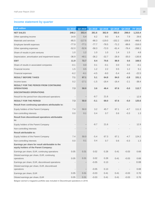### **Income statement by quarter**

| <b>EUR million</b>                                                                         | Q1 2019           | Q2 2019  | Q1 2018 | Q2 2018  | Q3 2018  | Q4 2018  | FY 2018  |
|--------------------------------------------------------------------------------------------|-------------------|----------|---------|----------|----------|----------|----------|
| <b>NET SALES</b>                                                                           | 248.2             | 353.4    | 261.6   | 362.9    | 393.0    | 298.0    | 1,315.4  |
| Other operating income                                                                     | 14.9              | 5.4      | 6.2     | 9.0      | 6.4      | 7.9      | 29.6     |
| Materials and services                                                                     | $-85.5$           | $-117.5$ | $-88.3$ | $-119.0$ | $-152.2$ | $-106.8$ | $-466.4$ |
| Employee benefit expenses                                                                  | $-77.9$           | $-77.1$  | $-77.7$ | $-78.5$  | $-71.2$  | $-88.6$  | $-316.0$ |
| Other operating expenses                                                                   | $-52.0$           | $-52.6$  | $-58.3$ | $-72.0$  | $-61.4$  | $-76.4$  | $-268.1$ |
| Share of results in joint ventures                                                         | 1.0               | 1.2      | 1.0     | 1.0      | 1.4      | 1.5      | 4.8      |
| Depreciation, amortisation and impairment losses                                           | $-36.9$           | $-40.1$  | $-36.2$ | $-32.7$  | $-26.9$  | $-35.0$  | $-130.8$ |
| <b>EBIT</b>                                                                                | 11.9              | 72.7     | 8.4     | 70.6     | 88.9     | 0.6      | 168.5    |
| Share of results in associated companies                                                   | $-0.1$            | 0.0      | 0.1     | $-0.1$   | 0.0      | 0.0      | $-0.1$   |
| Financial income                                                                           | 1.5               | 0.5      | 1.2     | 2.2      | 0.5      | 1.2      | 5.1      |
| Financial expenses                                                                         | $-6.2$            | $-6.1$   | $-4.5$  | $-8.0$   | $-5.4$   | -4.6     | $-22.5$  |
| <b>RESULT BEFORE TAXES</b>                                                                 | 7.1               | 67.1     | 5.1     | 64.8     | 84.0     | $-2.8$   | 151.1    |
| Income taxes                                                                               | 0.2               | $-17.1$  | $-1.5$  | $-18.4$  | $-16.4$  | $-2.1$   | $-38.4$  |
| <b>RESULT FOR THE PERIOD FROM CONTINUING</b>                                               |                   |          |         |          |          |          |          |
| <b>OPERATIONS</b>                                                                          | 7.3               | 50.0     | 3.6     | 46.4     | 67.6     | $-5.0$   | 112.7    |
| <b>DISCONTINUED OPERATIONS</b>                                                             |                   |          |         |          |          |          |          |
| Result for the period from discontinued operations                                         |                   |          | $-8.7$  | 21.6     |          |          | 12.9     |
| <b>RESULT FOR THE PERIOD</b>                                                               | 7.3               | 50.0     | $-5.1$  | 68.0     | 67.6     | $-5.0$   | 125.6    |
| Result from continuing operations attributable to:                                         |                   |          |         |          |          |          |          |
| Equity holders of the Parent Company                                                       | 7.4               | 50.0     | 3.2     | 45.7     | 67.1     | $-4.7$   | 111.3    |
| Non-controlling interests                                                                  | 0.0               | 0.1      | 0.4     | 0.7      | 0.6      | $-0.3$   | 1.3      |
| Result from discontinued operations attributable<br>to:                                    |                   |          |         |          |          |          |          |
| Equity holders of the Parent Company                                                       |                   |          | $-8.7$  | 21.6     |          |          | 12.9     |
| Non-controlling interests                                                                  |                   |          |         |          |          |          |          |
| <b>Result attributable to:</b>                                                             |                   |          |         |          |          |          |          |
| Equity holders of the Parent Company                                                       | 7.4               | 50.0     | $-5.4$  | 67.3     | 67.1     | -4.7     | 124.2    |
| Non-controlling interests                                                                  | 0.0               | 0.1      | 0.4     | 0.7      | 0.6      | $-0.3$   | 1.3      |
| Earnings per share for result attributable to the<br>equity holders of the Parent Company: |                   |          |         |          |          |          |          |
| Earnings per share, EUR, continuing operations                                             | 0.05              | 0.31     | 0.02    | 0.28     | 0.41     | $-0.03$  | 0.68     |
| Diluted earnings per share, EUR, continuing<br>operations                                  | 0.05              | 0.31     | 0.02    | 0.28     | 0.41     | $-0.03$  | 0.68     |
| Earnings per share, EUR, discontinued operations                                           |                   |          | $-0.05$ | 0.13     |          |          | 0.08     |
| Diluted earnings per share, EUR, discontinued<br>operations                                | $\qquad \qquad -$ |          | $-0.05$ | 0.13     |          |          | 0.08     |
| Earnings per share, EUR                                                                    | 0.05              | 0.31     | $-0.03$ | 0.41     | 0.41     | $-0.03$  | 0.76     |
| Diluted earnings per share, EUR                                                            | 0.05              | 0.31     | $-0.03$ | 0.41     | 0.41     | $-0.03$  | 0.76     |

Belgian women's magazine portfolio was included in Discontinued operations in 2018.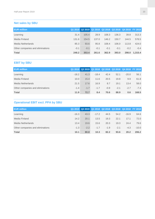### **Net sales by SBU**

| <b>EUR million</b>               |        |        |        |        |        | Q1 2019 Q2 2019 Q1 2018 Q2 2018 Q3 2018 Q4 2018 FY 2018 |         |
|----------------------------------|--------|--------|--------|--------|--------|---------------------------------------------------------|---------|
| Learning                         | 31.4   | 105.4  | 28.9   | 108.3  | 136.3  | 39.8                                                    | 313.3   |
| Media Finland                    | 131.6  | 154.5  | 137.0  | 146.2  | 150.7  | 144.5                                                   | 578.5   |
| Media Netherlands                | 85.3   | 93.6   | 95.8   | 108.4  | 106.0  | 113.8                                                   | 424.0   |
| Other companies and eliminations | $-0.1$ | $-0.1$ | $-0.1$ | $-0.1$ | $-0.1$ | $-0.2$                                                  | $-0.4$  |
| <b>Total</b>                     | 248.2  | 353.4  | 261.6  | 362.9  | 393.0  | 298.0                                                   | 1,315.4 |

### **EBIT by SBU**

| <b>EUR million</b>               |         | Q1 2019 Q2 2019 Q1 2018 Q2 2018 Q3 2018 Q4 2018 FY 2018 |         |        |        |         |        |
|----------------------------------|---------|---------------------------------------------------------|---------|--------|--------|---------|--------|
| Learning                         | $-18.2$ | 41.3                                                    | $-18.4$ | 42.4   | 52.1   | $-20.0$ | 56.1   |
| Media Finland                    | 10.0    | 15.4                                                    | 11.6    | 20.5   | 19.8   | 9.9     | 61.8   |
| Media Netherlands                | 21.5    | 17.6                                                    | 16.9    | 8.7    | 19.1   | 13.4    | 58.0   |
| Other companies and eliminations | $-1.4$  | $-1.7$                                                  | $-1.7$  | $-0.9$ | $-2.1$ | $-2.7$  | $-7.4$ |
| <b>Total</b>                     | 11.9    | 72.7                                                    | 8.4     | 70.6   | 88.9   | 0.6     | 168.5  |

# **Operational EBIT excl. PPA by SBU**

| <b>EUR million</b>               |         | Q1 2019 Q2 2019 Q1 2018 Q2 2018 Q3 2018 Q4 2018 FY 2018 |         |        |        |         |         |
|----------------------------------|---------|---------------------------------------------------------|---------|--------|--------|---------|---------|
| Learning                         | $-16.3$ | 43.3                                                    | $-17.2$ | 44.5   | 54.2   | $-16.9$ | 64.6    |
| Media Finland                    | 14.2    | 20.1                                                    | 13.5    | 19.3   | 22.1   | 17.1    | 72.0    |
| Media Netherlands                | 13.4    | 19.6                                                    | 15.6    | 20.3   | 19.3   | 24.4    | 79.6    |
| Other companies and eliminations | $-1.3$  | $-2.2$                                                  | $-1.7$  | $-1.9$ | $-2.1$ | $-4.3$  | $-10.0$ |
| <b>Total</b>                     | 10.1    | 80.8                                                    | 10.3    | 82.2   | 93.6   | 20.2    | 206.2   |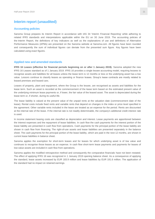### **Interim report (unaudited)**

#### **Accounting policies**

Sanoma Group prepares its Interim Report in accordance with IAS 34 'Interim Financial Reporting' while adhering to related IFRS standards and interpretations applicable within the EU on 30 June 2019. The accounting policies of the Interim Report, the definitions of key indicators as well as the explanations of use and definitions of Alternative Performance Measures (APMs) are presented on the Sanoma website at Sanoma.com. All figures have been rounded and consequently the sum of individual figures can deviate from the presented sum figure. Key figures have been calculated using exact figures.

#### **Applied new and amended standards**

**IFRS 16 Leases (effective for financial periods beginning on or after 1 January 2019).** Sanoma adopted the new IFRS 16 Leases standard as of 1 January 2019. IFRS 16 provides a single lessee accounting model, requiring lessees to recognise assets and liabilities for all leases unless the lease term is 12 months or less or the underlying asset has a low value. Lessors continue to classify leases as operating or finance leases. Group's lease contracts are mostly related to leased premises and leased cars.

Leases of property, plant and equipment, where the Group is the lessee, are recognised as assets and liabilities for the lease term. Such an asset is recorded at the commencement of the lease term based on the estimated present value of the underlying minimum lease payments or, if lower, the fair value of the leased asset. The asset is depreciated during the lease term or, if shorter, during its useful life.

The lease liability is valued at the present value of the unpaid rents at the valuation date (commencement date of the lease). Rental costs include fixed rents and variable rents that depend on changes in the index or price level specified in the agreement. Other variable rents included in the lease are treated as an expense for the period. Rents are discounted at the internal rate of the lease. If the internal rate is not readily determinable, the company's additional credit interest rate is used.

In income statement leasing costs are classified as depreciation and interest. Lease payments are apportioned between the interest expenses and the repayment of lease liabilities. In cash flow the cash payments for the interest portion of the lease liability are presented in cash flow from operations. Cash payments for the principal portion of the lease liability are shown in cash flow from financing. The right-of-use assets and lease liabilities are presented separately in the balance sheet. The cash payments for the principal portion of the lease liability, which are paid in the next 12 months, are shown in current lease liabilities in balance sheet.

Sanoma applies the exemption for short-term leases and for leases for which underlying asset is of low value and continues to recognise those leases as an expense. In cash flow short-term lease payments and payments for leases of low-value assets are included in cash flow from operations.

Sanoma applies the modified retrospective method and consequently the comparative financials have not been restated. The effect of applying IFRS 16 was recognized in 1 January 2019 opening balance sheet. As a consequence of applying the standard, lease assets increased by EUR 183.9 million and lease liabilities by EUR 191.6 million. The application of the standard had no impact on retained earnings.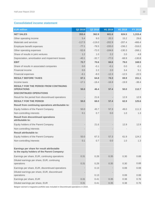### **Consolidated income statement**

| <b>EUR</b> million                                                                         | Q2 2019  | Q2 2018  | H1 2019  | H1 2018  | FY 2018  |
|--------------------------------------------------------------------------------------------|----------|----------|----------|----------|----------|
| <b>NET SALES</b>                                                                           | 353.4    | 362.9    | 601.6    | 624.5    | 1,315.4  |
| Other operating income                                                                     | 5.4      | 9.0      | 20.3     | 15.2     | 29.6     |
| Materials and services                                                                     | $-117.5$ | $-119.0$ | $-202.9$ | $-207.4$ | $-466.4$ |
| Employee benefit expenses                                                                  | $-77.1$  | $-78.5$  | $-155.0$ | $-156.2$ | $-316.0$ |
| Other operating expenses                                                                   | $-52.6$  | $-72.0$  | $-104.6$ | $-130.3$ | $-268.1$ |
| Share of results in joint ventures                                                         | 1.2      | 1.0      | 2.2      | 2.0      | 4.8      |
| Depreciation, amortisation and impairment losses                                           | $-40.1$  | $-32.7$  | $-77.0$  | $-68.9$  | $-130.8$ |
| <b>EBIT</b>                                                                                | 72.7     | 70.6     | 84.6     | 79.0     | 168.5    |
| Share of results in associated companies                                                   | 0.0      | $-0.1$   | $-0.1$   | 0.0      | $-0.1$   |
| Financial income                                                                           | 0.5      | 2.2      | 2.0      | 3.4      | 5.1      |
| Financial expenses                                                                         | $-6.1$   | $-8.0$   | $-12.3$  | $-12.5$  | $-22.5$  |
| <b>RESULT BEFORE TAXES</b>                                                                 | 67.1     | 64.8     | 74.3     | 69.9     | 151.1    |
| Income taxes                                                                               | $-17.1$  | $-18.4$  | $-16.9$  | $-19.9$  | $-38.4$  |
| <b>RESULT FOR THE PERIOD FROM CONTINUING</b><br><b>OPERATIONS</b>                          | 50.0     | 46.4     | 57.4     | 50.0     | 112.7    |
| <b>DISCONTINUED OPERATIONS</b>                                                             |          |          |          |          |          |
| Result for the period from discontinued operations                                         |          | 21.6     |          | 12.9     | 12.9     |
| <b>RESULT FOR THE PERIOD</b>                                                               | 50.0     | 68.0     | 57.4     | 62.9     | 125.6    |
| Result from continuing operations attributable to:                                         |          |          |          |          |          |
| Equity holders of the Parent Company                                                       | 50.0     | 45.7     | 57.3     | 49.0     | 111.3    |
| Non-controlling interests                                                                  | 0.1      | 0.7      | 0.0      | 1.0      | 1.3      |
| <b>Result from discontinued operations</b><br>attributable to:                             |          |          |          |          |          |
| Equity holders of the Parent Company                                                       |          | 21.6     |          | 12.9     | 12.9     |
| Non-controlling interests                                                                  |          |          |          |          |          |
| <b>Result attributable to:</b>                                                             |          |          |          |          |          |
| Equity holders of the Parent Company                                                       | 50.0     | 67.3     | 57.3     | 61.9     | 124.2    |
| Non-controlling interests                                                                  | 0.1      | 0.7      | 0.0      | 1.0      | 1.3      |
|                                                                                            |          |          |          |          |          |
| Earnings per share for result attributable<br>to the equity holders of the Parent Company: |          |          |          |          |          |
| Earnings per share, EUR, continuing operations                                             | 0.31     | 0.28     | 0.35     | 0.30     | 0.68     |
| Diluted earnings per share, EUR, continuing<br>operations                                  | 0.31     | 0.28     | 0.35     | 0.30     | 0.68     |
| Earnings per share, EUR, discontinued operations                                           |          | 0.13     |          | 0.08     | 0.08     |
| Diluted earnings per share, EUR, discontinued                                              |          |          |          |          |          |
| operations                                                                                 |          | 0.13     |          | 0.08     | 0.08     |
| Earnings per share, EUR                                                                    | 0.31     | 0.41     | 0.35     | 0.38     | 0.76     |
| Diluted earnings per share, EUR                                                            | 0.31     | 0.41     | 0.35     | 0.38     | 0.76     |

Belgian women's magazine portfolio was included in Discontinued operations in 2018.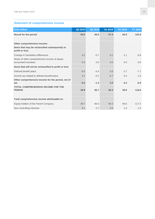### **Statement of comprehensive income**

| <b>EUR million</b>                                                    | Q2 2019 | Q2 2018 | H1 2019 | H1 2018 | FY 2018 |
|-----------------------------------------------------------------------|---------|---------|---------|---------|---------|
| <b>Result for the period</b>                                          | 50.0    | 68.0    | 57.4    | 62.9    | 125.6   |
|                                                                       |         |         |         |         |         |
| Other comprehensive income:                                           |         |         |         |         |         |
| Items that may be reclassified subsequently to<br>profit or loss      |         |         |         |         |         |
| Change in translation differences                                     | 0.2     | $-0.7$  | 0.1     | $-1.1$  | $-0.8$  |
| Share of other comprehensive income of equity-<br>accounted investees | 0.0     | 0.0     | 0.0     | 0.0     | 0.0     |
| Items that will not be reclassified to profit or loss                 |         |         |         |         |         |
| Defined benefit plans                                                 | $-0.5$  | $-0.4$  | 3.6     | $-2.7$  | $-7.7$  |
| Income tax related to defined benefit plans                           | 0.1     | $-0.2$  | $-0.7$  | 0.4     | 1.5     |
| Other comprehensive income for the period, net of<br>tax              | $-0.2$  | $-1.3$  | 3.0     | $-3.3$  | $-6.9$  |
| <b>TOTAL COMPREHENSIVE INCOME FOR THE</b><br><b>PERIOD</b>            | 49.8    | 66.7    | 60.3    | 59.6    | 118.6   |
|                                                                       |         |         |         |         |         |
| Total comprehensive income attributable to:                           |         |         |         |         |         |
| Equity holders of the Parent Company                                  | 49.7    | 66.0    | 60.3    | 58.6    | 117.3   |
| Non-controlling interests                                             | 0.1     | 0.7     | 0.0     | 1.0     | 1.3     |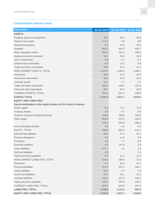### **Consolidated balance sheet**

| <b>EUR million</b>                                              | 30 Jun 2019 | 30 Jun 2018 | 31 Dec 2018 |
|-----------------------------------------------------------------|-------------|-------------|-------------|
| <b>ASSETS</b>                                                   |             |             |             |
| Property, plant and equipment                                   | 33.3        | 40.4        | 36.5        |
| Right-of-use assets                                             | 171.2       | 0.9         | 0.9         |
| Investment property                                             | 9.7         | 12.9        | 10.3        |
| Goodwill                                                        | 901.0       | 941.5       | 935.7       |
| Other intangible assets                                         | 257.0       | 251.2       | 250.4       |
| Equity-accounted investees                                      | 15.1        | 16.5        | 18.4        |
| Other investments                                               | 3.8         | 5.1         | 3.7         |
| Deferred tax receivables                                        | 8.4         | 13.5        | 9.9         |
| Trade and other receivables                                     | 10.6        | 22.1        | 14.3        |
| NON-CURRENT ASSETS, TOTAL                                       | 1,410.3     | 1,304.0     | 1,280.1     |
| Inventories                                                     | 48.8        | 51.3        | 36.9        |
| Income tax receivables                                          | 19.9        | 14.9        | 10.4        |
| Contract assets                                                 | 10.1        | 7.7         | 5.2         |
| Trade and other receivables                                     | 203.5       | 259.2       | 167.6       |
| Cash and cash equivalents                                       | 28.7        | 34.1        | 18.8        |
| <b>CURRENT ASSETS, TOTAL</b>                                    | 311.0       | 367.2       | 238.8       |
| <b>ASSETS, TOTAL</b>                                            | 1,721.3     | 1,671.1     | 1,519.0     |
| <b>EQUITY AND LIABILITIES</b>                                   |             |             |             |
| Equity attributable to the equity holders of the Parent Company |             |             |             |
| Share capital                                                   | 71.3        | 71.3        | 71.3        |
| Treasury shares                                                 | $-4.6$      | $-0.7$      | $-8.4$      |
| Fund for invested unrestricted equity                           | 209.8       | 209.8       | 209.8       |
| Other equity                                                    | 302.8       | 273.5       | 333.8       |
|                                                                 | 579.2       | 553.8       | 606.4       |
| Non-controlling interests                                       | 9.6         | 4.9         | 5.0         |
| EQUITY, TOTAL                                                   | 588.8       | 558.7       | 611.4       |
| Deferred tax liabilities                                        | 33.9        | 37.4        | 32.7        |
| Pension obligations                                             | 4.8         | 11.8        | 8.4         |
| Provisions                                                      | 4.5         | 7.7         | 8.9         |
| <b>Financial liabilities</b>                                    | 8.5         | 197.9       | 2.8         |
| Lease liabilities                                               | 157.7       | 1.5         | 1.5         |
| <b>Contract liabilities</b>                                     | 4.3         |             | 5.1         |
| Trade and other payables                                        | 5.5         | 12.2        | 11.0        |
| NON-CURRENT LIABILITIES, TOTAL                                  | 219.2       | 268.4       | 70.4        |
| Provisions                                                      | 8.2         | 35.3        | 25.1        |
| <b>Financial liabilities</b>                                    | 417.6       | 307.2       | 352.1       |
| Lease liabilities                                               | 22.9        | 0.3         | 0.3         |
| Income tax liabilities                                          | 22.7        | 25.1        | 13.3        |
| <b>Contract liabilities</b>                                     | 131.7       | 137.3       | 142.1       |
| Trade and other payables                                        | 310.2       | 338.8       | 304.2       |
| <b>CURRENT LIABILITIES, TOTAL</b>                               | 913.3       | 843.9       | 837.2       |
| <b>LIABILITIES, TOTAL</b>                                       | 1,132.5     | 1,112.4     | 907.6       |
| <b>EQUITY AND LIABILITIES, TOTAL</b>                            | 1,721.3     | 1,671.1     | 1,519.0     |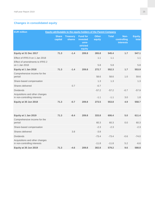### **Changes in consolidated equity**

| <b>EUR million</b><br><b>Equity attributable to the equity holders of the Parent Company</b> |                         |                           |                                                            |                        |              |                                         |                  |
|----------------------------------------------------------------------------------------------|-------------------------|---------------------------|------------------------------------------------------------|------------------------|--------------|-----------------------------------------|------------------|
|                                                                                              | <b>Share</b><br>capital | <b>Treasury</b><br>shares | <b>Fund for</b><br>invested<br>unre-<br>stricted<br>equity | <b>Other</b><br>equity | <b>Total</b> | Non-<br>controlling<br><b>interests</b> | Equity,<br>total |
| Equity at 31 Dec 2017                                                                        | 71.3                    | $-1.4$                    | 209.8                                                      | 265.8                  | 545.4        | 1.7                                     | 547.1            |
| Effect of IFRS 9 on 1 Jan 2018                                                               |                         |                           |                                                            | 1.1                    | 1.1          |                                         | 1.1              |
| Effect of amendments to IFRS 2<br>on 1 Jan 2018                                              |                         |                           |                                                            | 5.8                    | 5.8          |                                         | 5.8              |
| Equity at 1 Jan 2018                                                                         | 71.3                    | $-1.4$                    | 209.8                                                      | 272.7                  | 552.3        | 1.7                                     | 553.9            |
| Comprehensive income for the<br>period                                                       |                         |                           |                                                            | 58.6                   | 58.6         | 1.0                                     | 59.6             |
| Share-based compensation                                                                     |                         |                           |                                                            | 1.3                    | 1.3          |                                         | 1.3              |
| Shares delivered                                                                             |                         | 0.7                       |                                                            | $-0.7$                 |              |                                         |                  |
| <b>Dividends</b>                                                                             |                         |                           |                                                            | $-57.2$                | $-57.2$      | $-0.7$                                  | $-57.9$          |
| Acquisitions and other changes<br>in non-controlling interests                               |                         |                           |                                                            | $-1.1$                 | $-1.1$       | 3.0                                     | 1.8              |
| Equity at 30 Jun 2018                                                                        | 71.3                    | $-0.7$                    | 209.8                                                      | 273.5                  | 553.8        | 4.9                                     | 558.7            |
|                                                                                              |                         |                           |                                                            |                        |              |                                         |                  |
|                                                                                              |                         |                           |                                                            |                        |              |                                         |                  |
| Equity at 1 Jan 2019                                                                         | 71.3                    | $-8.4$                    | 209.8                                                      | 333.8                  | 606.4        | 5.0                                     | 611.4            |
| Comprehensive income for the<br>period                                                       |                         |                           |                                                            | 60.3                   | 60.3         | 0.0                                     | 60.3             |
| Share-based compensation                                                                     |                         |                           |                                                            | $-2.3$                 | $-2.3$       |                                         | $-2.3$           |
| Shares delivered                                                                             |                         | 3.8                       |                                                            | $-3.8$                 |              |                                         |                  |
| <b>Dividends</b>                                                                             |                         |                           |                                                            | $-73.4$                | $-73.4$      | $-0.6$                                  | $-74.0$          |
| Acquisitions and other changes<br>in non-controlling interests                               |                         |                           |                                                            | $-11.8$                | $-11.8$      | 5.2                                     | $-6.6$           |
| Equity at 30 Jun 2019                                                                        | 71.3                    | $-4.6$                    | 209.8                                                      | 302.8                  | 579.2        | 9.6                                     | 588.8            |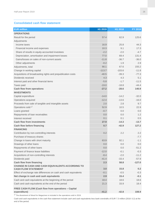#### **Consolidated cash flow statement**

| <b>EUR million</b>                                                  | H1 2019  | H1 2018  | FY 2018  |
|---------------------------------------------------------------------|----------|----------|----------|
| <b>OPERATIONS</b>                                                   |          |          |          |
| Result for the period                                               | 57.4     | 62.9     | 125.6    |
| Adjustments                                                         |          |          |          |
| Income taxes                                                        | 16.9     | 25.8     | 44.3     |
| Financial income and expenses                                       | 10.3     | 9.1      | 17.3     |
| Share of results in equity-accounted investees                      | $-2.2$   | $-2.0$   | $-4.7$   |
| Depreciation, amortisation and impairment losses                    | 77.0     | 69.4     | 131.4    |
| Gains/losses on sales of non-current assets                         | $-11.8$  | $-36.7$  | $-36.0$  |
| Other adjustments                                                   | $-0.2$   | 1.9      | 2.9      |
| Adjustments, total                                                  | 90.1     | 67.6     | 155.2    |
| Change in working capital                                           | $-113.7$ | $-103.6$ | $-11.8$  |
| Acquisitions of broadcasting rights and prepublication costs        | $-40.5$  | $-39.3$  | $-77.3$  |
| Dividends received                                                  | 4.3      | 4.3      | 5.1      |
|                                                                     | $-5.8$   | $-1.7$   | $-11.5$  |
| Interest paid and other financial items                             | $-19.0$  | $-18.8$  | $-44.4$  |
| Taxes paid                                                          | $-27.2$  | $-28.6$  | 140.9    |
| <b>Cash flow from operations</b><br><b>INVESTMENTS</b>              |          |          |          |
|                                                                     |          |          |          |
| Capital expenditure                                                 | $-14.0$  | $-14.2$  | $-32.0$  |
| Operations acquired                                                 | $-12.4$  | $-13.6$  | $-16.0$  |
| Proceeds from sale of tangible and intangible assets                | 2.0      | 2.8      | 9.7      |
| Operations sold <sup>1)</sup>                                       | 52.9     | 10.5     | 22.9     |
| Loans granted                                                       | $-0.7$   | 0.0      | 0.0      |
| Repayments of loan receivables                                      | 0.0      | 0.0      | 1.2      |
| Interest received                                                   | 0.1      | 0.1      | 0.5      |
| <b>Cash flow from investments</b>                                   | 27.9     | $-14.3$  | $-13.7$  |
| <b>Cash flow before financing</b>                                   | 0.7      | $-42.9$  | 127.2    |
| <b>FINANCING</b>                                                    |          |          |          |
| Contribution by non-controlling interests                           | 0.2      | 2.2      | 2.2      |
| Purchase of treasury shares                                         |          |          | $-7.7$   |
| Change in loans with short maturity                                 | 63.9     | 92.1     | $-1.1$   |
| Drawings of other loans                                             | 0.0      | 0.0      | 0.0      |
| Repayments of other loans                                           | 0.0      | 0.0      | $-51.2$  |
| Payment of finance lease liabilities                                | $-12.0$  | $-0.1$   | $-0.3$   |
| Acquisitions of non-controlling interests                           | $-8.4$   | $-2.0$   | $-11.2$  |
| Dividends paid                                                      | $-41.4$  | $-33.4$  | $-57.9$  |
| <b>Cash flow from financing</b>                                     | 2.3      | 58.8     | $-127.0$ |
| CHANGE IN CASH AND CASH EQUIVALENTS ACCORDING TO                    |          |          |          |
| <b>CASH FLOW STATEMENT</b>                                          | 3.0      | 15.8     | 0.2      |
| Effect of exchange rate differences on cash and cash equivalents    | $-0.1$   | $-0.5$   | $-0.3$   |
| Net change in cash and cash equivalents                             | 2.9      | 15.4     | $-0.1$   |
| Cash and cash equivalents at the beginning of the period            | 18.4     | 18.6     | 18.6     |
| Cash and cash equivalents at the end of the period                  | 21.3     | 33.9     | 18.4     |
| FREE CASH FLOW (Cash flow from operations - Capital<br>expenditure) | $-41.2$  | $-42.8$  | 108.9    |

 $1)$  The divestment of Mood for Magazines is included in the operations sold in 2019.

Cash and cash equivalents in the cash flow statement include cash and cash equivalents less bank overdrafts of EUR 7.3 million (2018: 0.2) at the end of the period.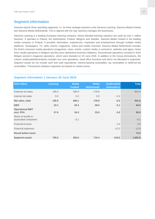### **Segment information**

Sanoma reports three operating segments, i.e. its three strategic business units Sanoma Learning, Sanoma Media Finland and Sanoma Media Netherlands. This is aligned with the way Sanoma manages the businesses.

Sanoma Learning is a leading European learning company, whose blended learning solutions are used by over 1 million teachers. It operates in Poland, the Netherlands, Finland, Belgium and Sweden. Sanoma Media Finland is the leading media company in Finland. It provides information, experiences, inspiration and entertainment through multiple media platforms: newspapers, TV, radio, events, magazines, online and mobile channels. Sanoma Media Netherlands includes the Dutch consumer media operations (magazines, news, events, custom media, e-commerce, websites and apps), Home Deco media operations in Belgium and the press distribution business Aldipress. Discontinued operations included in 2018 Belgian women's magazine operations, which were divested on 29 June 2018. In addition to the Group eliminations, the column unallocated/eliminations includes non-core operations, head office functions and items not allocated to segments. Segment assets do not include cash and cash equivalents, interest-bearing receivables, tax receivables or deferred tax receivables. Transactions between segments are based on market prices.

#### **Segment information 1 January–30 June 2019**

| <b>EUR million</b>                          | <b>Learning</b> | <b>Media</b><br><b>Finland</b> | <b>Media</b><br><b>Netherlands</b> | Unallocated/<br>eliminations | <b>Total</b> |
|---------------------------------------------|-----------------|--------------------------------|------------------------------------|------------------------------|--------------|
| External net sales                          | 136.9           | 285.9                          | 178.9                              |                              | 601.6        |
| Internal net sales                          | 0.0             | 0.2                            | 0.0                                | $-0.3$                       |              |
| Net sales, total                            | 136.9           | 286.1                          | 178.9                              | $-0.3$                       | 601.6        |
| <b>EBIT</b>                                 | 23.1            | 25.4                           | 39.2                               | $-3.1$                       | 84.6         |
| <b>Operational EBIT</b><br>excl. PPA        | 27.0            | 34.3                           | 33.0                               | $-3.5$                       | 90.9         |
| Share of results in<br>associated companies |                 | $-0.1$                         |                                    |                              | $-0.1$       |
| Financial income                            |                 |                                |                                    | 2.0                          | 2.0          |
| Financial expenses                          |                 |                                |                                    | $-12.3$                      | $-12.3$      |
| <b>Result before taxes</b>                  |                 |                                |                                    |                              | 74.3         |
| <b>Segment assets</b>                       | 735.5           | 350.0                          | 710.4                              | $-133.0$                     | 1,662.9      |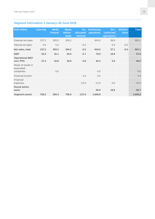# **Segment information 1 January–30 June 2018**

| <b>EUR million</b>                   | Learning | <b>Media</b><br><b>Finland</b> | <b>Media</b><br>Nether-<br><b>lands</b> | allocated/<br>eliminat. | <b>Un- Continuing</b><br>operations | Dis-<br>continued<br>operations | Elimina-<br>tions | <b>Total</b> |
|--------------------------------------|----------|--------------------------------|-----------------------------------------|-------------------------|-------------------------------------|---------------------------------|-------------------|--------------|
| External net sales                   | 137.2    | 283.0                          | 204.2                                   |                         | 624.5                               | 36.6                            |                   | 661.1        |
| Internal net sales                   | 0.0      | 0.2                            |                                         | $-0.2$                  |                                     | 0.5                             | $-0.5$            |              |
| Net sales, total                     | 137.2    | 283.2                          | 204.2                                   | $-0.2$                  | 624.5                               | 37.1                            | $-0.5$            | 661.1        |
| <b>EBIT</b>                          | 24.0     | 32.1                           | 25.5                                    | $-2.7$                  | 79.0                                | 18.8                            |                   | 97.8         |
| <b>Operational EBIT</b><br>excl. PPA | 27.3     | 32.8                           | 35.9                                    | $-3.6$                  | 92.4                                | 3.5                             |                   | 96.0         |
| Share of results in<br>associated    |          |                                |                                         |                         |                                     |                                 |                   |              |
| companies                            |          | 0.0                            |                                         |                         | 0.0                                 |                                 |                   | 0.0          |
| Financial income                     |          |                                |                                         | 3.4                     | 3.4                                 |                                 |                   | 3.4          |
| Financial<br>expenses                |          |                                |                                         | $-12.5$                 | $-12.5$                             | 0.0                             |                   | $-12.5$      |
| <b>Result before</b><br>taxes        |          |                                |                                         |                         | 69.9                                | 18.8                            |                   | 88.7         |
| <b>Segment assets</b>                | 728.2    | 250.3                          | 756.0                                   | $-127.6$                | 1,606.8                             |                                 |                   | 1,606.8      |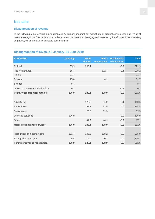### **Net sales**

#### **Disaggregation of revenue**

In the following table revenue is disaggregated by primary geographical market, major product/service lines and timing of revenue recognition. The table also includes a reconciliation of the disaggregated revenue by the Group's three operating segments, which are also its strategic business units.

### **Disaggregation of revenue 1 January–30 June 2019**

| <b>EUR million</b>                   | <b>Learning</b> | <b>Media</b><br><b>Finland</b> | <b>Media</b><br><b>Netherlands</b> | <b>Unallocated/</b><br>eliminations | <b>Total</b> |
|--------------------------------------|-----------------|--------------------------------|------------------------------------|-------------------------------------|--------------|
| Finland                              | 35.9            | 286.1                          |                                    | $-0.2$                              | 321.9        |
| The Netherlands                      | 55.4            |                                | 172.7                              | 0.1                                 | 228.2        |
| Poland                               | 11.3            |                                |                                    |                                     | 11.3         |
| Belgium                              | 25.6            |                                | 6.1                                |                                     | 31.7         |
| Sweden                               | 8.4             |                                |                                    |                                     | 8.4          |
| Other companies and eliminations     | 0.2             |                                |                                    | $-0.2$                              | 0.1          |
| <b>Primary geographical markets</b>  | 136.9           | 286.1                          | 178.9                              | $-0.3$                              | 601.6        |
|                                      |                 |                                |                                    |                                     |              |
| Advertising                          |                 | 126.8                          | 34.0                               | $-0.1$                              | 160.6        |
| Subscription                         |                 | 97.3                           | 67.5                               | 0.0                                 | 164.8        |
| Single copy                          |                 | 20.9                           | 31.3                               |                                     | 52.3         |
| Learning solutions                   | 136.9           |                                |                                    | 0.0                                 | 136.9        |
| Other                                |                 | 41.2                           | 46.1                               | $-0.2$                              | 87.1         |
| <b>Major product lines/services</b>  | 136.9           | 286.1                          | 178.9                              | $-0.3$                              | 601.6        |
|                                      |                 |                                |                                    |                                     |              |
| Recognition at a point-in-time       | 111.4           | 106.5                          | 108.2                              | $-0.2$                              | 325.9        |
| Recognition over-time                | 25.4            | 179.6                          | 70.7                               | 0.0                                 | 275.7        |
| <b>Timing of revenue recognition</b> | 136.9           | 286.1                          | 178.9                              | $-0.3$                              | 601.6        |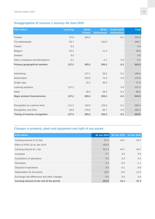### **Disaggregation of revenue 1 January–30 June 2018**

| <b>EUR million</b>                   | <b>Learning</b> | <b>Media</b><br><b>Finland</b> | <b>Media</b><br><b>Netherlands</b> | <b>Unallocated/</b><br>eliminations | <b>Total</b> |
|--------------------------------------|-----------------|--------------------------------|------------------------------------|-------------------------------------|--------------|
| Finland                              | 37.8            | 283.2                          |                                    | $-0.2$                              | 320.9        |
| The Netherlands                      | 55.7            |                                | 193.0                              |                                     | 248.7        |
| Poland                               | 9.4             |                                |                                    |                                     | 9.4          |
| <b>Belgium</b>                       | 25.2            |                                | 11.4                               |                                     | 36.6         |
| Sweden                               | 9.0             |                                |                                    |                                     | 9.0          |
| Other companies and eliminations     | 0.1             |                                | $-0.1$                             | 0.0                                 | $-0.1$       |
| <b>Primary geographical markets</b>  | 137.2           | 283.2                          | 204.2                              | $-0.2$                              | 624.5        |
|                                      |                 |                                |                                    |                                     |              |
| Advertising                          |                 | 127.1                          | 39.5                               | $-0.1$                              | 166.6        |
| Subscription                         |                 | 103.5                          | 72.5                               | 0.0                                 | 176.0        |
| Single copy                          |                 | 22.2                           | 35.6                               |                                     | 57.9         |
| Learning solutions                   | 137.2           |                                |                                    | 0.0                                 | 137.2        |
| Other                                |                 | 30.4                           | 56.5                               | $-0.1$                              | 86.8         |
| <b>Major product lines/services</b>  | 137.2           | 283.2                          | 204.2                              | $-0.2$                              | 624.5        |
|                                      |                 |                                |                                    |                                     |              |
| Recognition at a point-in-time       | 111.2           | 104.6                          | 123.6                              | $-0.1$                              | 339.3        |
| Recognition over-time                | 26.0            | 178.5                          | 80.7                               | 0.0                                 | 285.2        |
| <b>Timing of revenue recognition</b> | 137.2           | 283.2                          | 204.2                              | $-0.2$                              | 624.5        |

### **Changes in property, plant and equipment and right of use assets**

| <b>EUR million</b>                          | 30 Jun 2019 | 30 Jun 2018 31 Dec 2018 |         |
|---------------------------------------------|-------------|-------------------------|---------|
| Carrying amount at 31 Dec                   | 37.4        | 44.7                    | 44.7    |
| Effect of IFRS 16 on Jan 2019               | 183.9       |                         |         |
| Carrying amount at 1 Jan                    | 221.3       | 44.7                    | 44.7    |
| Increases                                   | 5.7         | 3.0                     | 5.6     |
| Acquisitions of operations                  | 0.0         | 0.3                     | 0.4     |
| Decreases                                   | $-2.3$      | $-0.5$                  | $-1.1$  |
| Disposal of operations                      | $-3.0$      | $-0.1$                  | $-0.6$  |
| Depreciation for the period                 | $-16.8$     | $-6.0$                  | $-11.5$ |
| Exchange rate differences and other changes | $-0.4$      | 0.0                     | 0.0     |
| Carrying amount at the end of the period    | 204.6       | 41.4                    | 37.4    |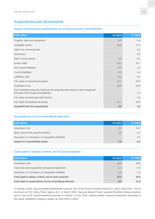### **Acquisitions and divestments**

#### **Impact of business acquisitions on Group's assets and liabilities**

| <b>EUR million</b>                                                                                                        | H1 2019 | FY 2018 |
|---------------------------------------------------------------------------------------------------------------------------|---------|---------|
| Property, plant and equipment                                                                                             | 0.0     | 0.4     |
| Intangible assets                                                                                                         | 12.9    | 17.1    |
| Other non-current assets                                                                                                  |         | 0.1     |
| Inventories                                                                                                               |         | 0.0     |
| Other current assets                                                                                                      | 2.2     | 6.1     |
| Assets, total                                                                                                             | 15.2    | 23.7    |
| Non-current liabilities                                                                                                   | $-3.1$  | $-1.3$  |
| <b>Current liabilities</b>                                                                                                | $-0.5$  | $-3.4$  |
| Liabilities, total                                                                                                        | $-3.5$  | $-4.7$  |
| Fair value of acquired net assets                                                                                         | 11.7    | 19.0    |
| Acquisition cost                                                                                                          | 14.8    | 20.8    |
| Non-controlling interests, based on the proportionate interest in the recognised<br>amounts of the assets and liabilities |         | 1.2     |
| Fair value of previously held interest                                                                                    |         | 1.8     |
| Fair value of acquired net assets                                                                                         | $-11.7$ | $-19.0$ |
| <b>Goodwill from the acquisitions</b>                                                                                     | 3.2     | 4.9     |

#### **Acquisitions of non-controlling interests**

| <b>EUR million</b>                                     | H <sub>1</sub> 2019 | <b>FY 2018</b> |
|--------------------------------------------------------|---------------------|----------------|
| Acquisition cost                                       | 8.4                 | 11.2           |
| Book value of the acquired interest                    | 1.0                 | $0.4^{\circ}$  |
| Decrease (+) / increase (-) in acquisition liabilities |                     | 9.1            |
| Impact on consolidated equity                          | $-7.4$              | $-1.6$         |

#### **Cash paid to obtain control, net of cash acquired**

| <b>EUR million</b>                                     | H <sub>1</sub> 2019 | <b>FY 2018</b> |
|--------------------------------------------------------|---------------------|----------------|
| Acquisition cost                                       | 14.8                | 20.8           |
| Cash and cash equivalents of acquired operations       | $-1.4$              | $-3.9$         |
| Decrease (+) / increase (-) in acquisition liabilities | $-1.0$              | $-1.0$         |
| Cash paid to obtain control, net of cash acquired      | 12.4                | 15.9           |
| Cash paid on acquisitions of non-controlling interests | 8.4                 | 11.2           |

In February 2019, Sanoma Media Netherlands acquired 70% of the shares of Panel Inzicht B.V. and in April 2019, 70% of the shares of Pro Shots Photo Agency B.V. In March 2019, Sanoma Media Finland acquired Rockfest festival business and in June 2019, Asuntomarkkinat business in Finland. In June 2019, Sanoma Media Finland increased its ownership in the online classifieds company Oikotie Ltd. from 90% to 100%.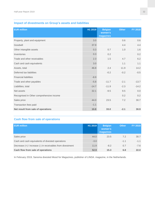### **Impact of divestments on Group's assets and liabilities**

| <b>EUR million</b>                       | H1 2019 | <b>Belgian</b><br>women's<br>magazines | <b>Other</b> | FY 2018 |
|------------------------------------------|---------|----------------------------------------|--------------|---------|
| Property, plant and equipment            | 3.0     |                                        | 0.6          | 0.6     |
| Goodwill                                 | 37.9    |                                        | 4.4          | 4.4     |
| Other intangible assets                  | 0.3     | 0.7                                    | 1.0          | 1.6     |
| Inventories                              | 0.3     | 0.2                                    |              | 0.2     |
| Trade and other receivables              | 2.3     | 1.5                                    | 4.7          | 6.2     |
| Cash and cash equivalents                | 3.0     |                                        | 1.1          | 1.1     |
| Assets, total                            | 46.8    | 2.4                                    | 11.9         | 14.2    |
| Deferred tax liabilities                 |         | $-0.2$                                 | $-0.2$       | $-0.5$  |
| <b>Financial liabilities</b>             | $-8.9$  |                                        |              |         |
| Trade and other payables                 | $-5.8$  | $-11.7$                                | $-2.1$       | $-13.7$ |
| Liabilities, total                       | $-14.7$ | $-11.9$                                | $-2.3$       | $-14.2$ |
| Net assets                               | 32.1    | $-9.5$                                 | 9.5          | 0.0     |
| Recognised in Other comprehensive income |         |                                        | 0.2          | 0.2     |
| Sales price                              | 44.0    | 23.5                                   | 7.2          | 30.7    |
| Transaction fees paid                    | $-1.1$  |                                        |              |         |
| Net result from sale of operations       | 10.8    | 33.0                                   | $-2.1$       | 30.9    |

### **Cash flow from sale of operations**

| <b>EUR million</b>                                         | H1 2019 | <b>Belgian</b><br>women's<br>magazines <sup>1</sup> | <b>Other</b> | <b>FY 2018</b> |
|------------------------------------------------------------|---------|-----------------------------------------------------|--------------|----------------|
| Sales price                                                | 44.0    | 23.5                                                | 7.2          | 30.7           |
| Cash and cash equivalents of divested operations           | $-3.0$  |                                                     | $-1.1$       | $-1.1$         |
| Decrease (+) / increase (-) in receivables from divestment | 11.9    | $-8.2$                                              | 0.7          | $-7.6$         |
| Cash flow from sale of operations                          | 52.9    | 15.3                                                | 6.8          | 22.0           |

In February 2019, Sanoma divested Mood for Magazines, publisher of LINDA. magazine, in the Netherlands.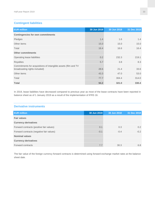### **Contingent liabilities**

| <b>EUR million</b>                                                                              | 30 Jun 2019 | 30 Jun 2018 | 31 Dec 2018 |
|-------------------------------------------------------------------------------------------------|-------------|-------------|-------------|
| <b>Contingencies for own commitments</b>                                                        |             |             |             |
| Pledges                                                                                         | 1.4         | 1.6         | 1.4         |
| Other items                                                                                     | 15.0        | 15.0        | 15.0        |
| Total                                                                                           | 16.4        | 16.6        | 16.4        |
| <b>Other commitments</b>                                                                        |             |             |             |
| Operating lease liabilities                                                                     | 0.2         | 232.3       | 219.1       |
| <b>Royalties</b>                                                                                | 5.7         | 3.8         | 8.3         |
| Commitments for acquisitions of intangible assets (film and TV<br>broadcasting rights included) | 28.6        | 21.4        | 33.6        |
| Other items                                                                                     | 43.3        | 47.0        | 53.0        |
| Total                                                                                           | 77.7        | 304.4       | 314.0       |
| <b>Total</b>                                                                                    | 94.2        | 321.0       | 330.4       |

In 2019, lease liabilities have decreased compared to previous year as most of the lease contracts have been reported in balance sheet as of 1 January 2019 as a result of the implementation of IFRS 16.

#### **Derivative instruments**

| <b>EUR million</b>                       | 30 Jun 2019 | 30 Jun 2018 | 31 Dec 2018 |
|------------------------------------------|-------------|-------------|-------------|
| <b>Fair values</b>                       |             |             |             |
| <b>Currency derivatives</b>              |             |             |             |
| Forward contracts (positive fair values) | 0.1         | 0.3         | 0.2         |
| Forward contracts (negative fair values) | $-0.1$      | $-0.4$      | $-0.2$      |
| <b>Nominal values</b>                    |             |             |             |
| <b>Currency derivatives</b>              |             |             |             |
| Forward contracts                        | 7.7         | 30.3        | 6.8         |
|                                          |             |             |             |

The fair value of the foreign currency forward contracts is determined using forward exchange market rates at the balance sheet date.